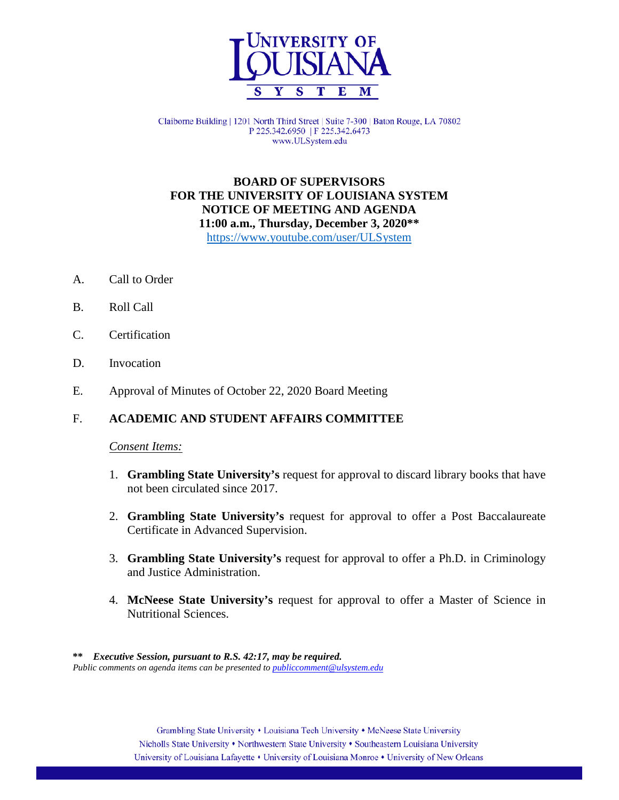

Claiborne Building | 1201 North Third Street | Suite 7-300 | Baton Rouge, LA 70802 P 225.342.6950 | F 225.342.6473 www.ULSystem.edu

## **BOARD OF SUPERVISORS FOR THE UNIVERSITY OF LOUISIANA SYSTEM NOTICE OF MEETING AND AGENDA 11:00 a.m., Thursday, December 3, 2020\*\*** <https://www.youtube.com/user/ULSystem>

- A. Call to Order
- B. Roll Call
- C. Certification
- D. Invocation
- E. Approval of Minutes of October 22, 2020 Board Meeting

### F. **ACADEMIC AND STUDENT AFFAIRS COMMITTEE**

#### *Consent Items:*

- 1. **Grambling State University's** request for approval to discard library books that have not been circulated since 2017.
- 2. **Grambling State University's** request for approval to offer a Post Baccalaureate Certificate in Advanced Supervision.
- 3. **Grambling State University's** request for approval to offer a Ph.D. in Criminology and Justice Administration.
- 4. **McNeese State University's** request for approval to offer a Master of Science in Nutritional Sciences.

 **\*\*** *Executive Session, pursuant to R.S. 42:17, may be required. Public comments on agenda items can be presented t[o publiccomment@ulsystem.edu](mailto:publiccomment@ulsystem.edu)*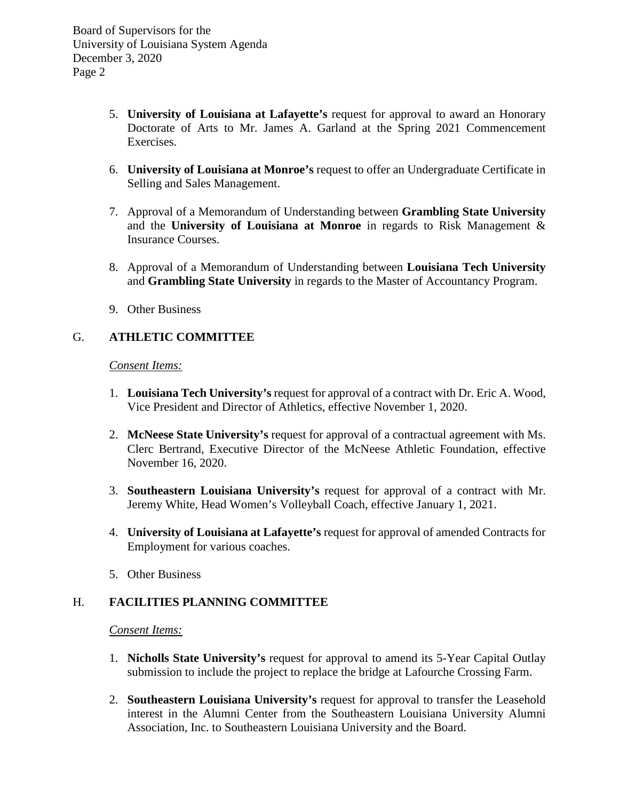Board of Supervisors for the University of Louisiana System Agenda December 3, 2020 Page 2

- 5. **University of Louisiana at Lafayette's** request for approval to award an Honorary Doctorate of Arts to Mr. James A. Garland at the Spring 2021 Commencement Exercises.
- 6. **University of Louisiana at Monroe's** request to offer an Undergraduate Certificate in Selling and Sales Management.
- 7. Approval of a Memorandum of Understanding between **Grambling State University** and the **University of Louisiana at Monroe** in regards to Risk Management & Insurance Courses.
- 8. Approval of a Memorandum of Understanding between **Louisiana Tech University**  and **Grambling State University** in regards to the Master of Accountancy Program.
- 9. Other Business

# G. **ATHLETIC COMMITTEE**

*Consent Items:*

- 1. **Louisiana Tech University's** request for approval of a contract with Dr. Eric A. Wood, Vice President and Director of Athletics, effective November 1, 2020.
- 2. **McNeese State University's** request for approval of a contractual agreement with Ms. Clerc Bertrand, Executive Director of the McNeese Athletic Foundation, effective November 16, 2020.
- 3. **Southeastern Louisiana University's** request for approval of a contract with Mr. Jeremy White, Head Women's Volleyball Coach, effective January 1, 2021.
- 4. **University of Louisiana at Lafayette's** request for approval of amended Contracts for Employment for various coaches.
- 5. Other Business

# H. **FACILITIES PLANNING COMMITTEE**

*Consent Items:*

- 1. **Nicholls State University's** request for approval to amend its 5-Year Capital Outlay submission to include the project to replace the bridge at Lafourche Crossing Farm.
- 2. **Southeastern Louisiana University's** request for approval to transfer the Leasehold interest in the Alumni Center from the Southeastern Louisiana University Alumni Association, Inc. to Southeastern Louisiana University and the Board.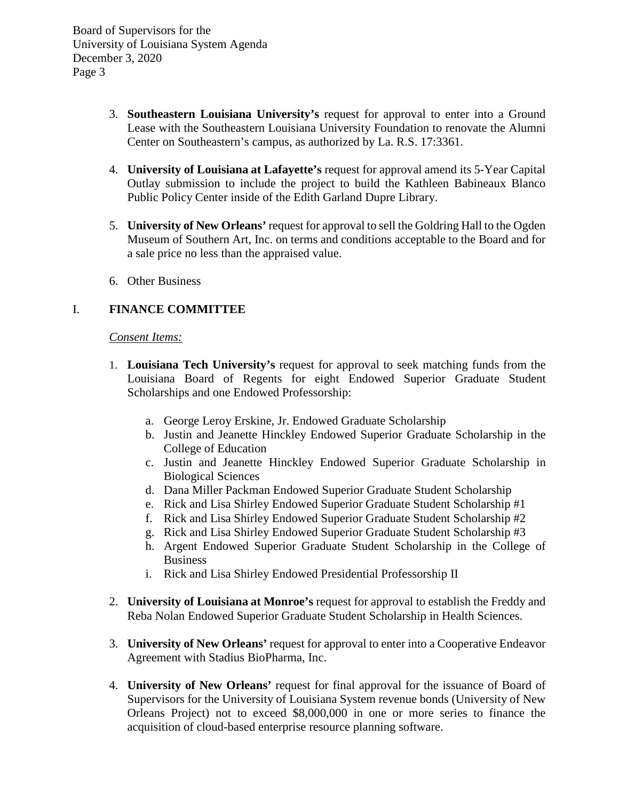Board of Supervisors for the University of Louisiana System Agenda December 3, 2020 Page 3

- 3. **Southeastern Louisiana University's** request for approval to enter into a Ground Lease with the Southeastern Louisiana University Foundation to renovate the Alumni Center on Southeastern's campus, as authorized by La. R.S. 17:3361.
- 4. **University of Louisiana at Lafayette's** request for approval amend its 5-Year Capital Outlay submission to include the project to build the Kathleen Babineaux Blanco Public Policy Center inside of the Edith Garland Dupre Library.
- 5. **University of New Orleans'** request for approval to sell the Goldring Hall to the Ogden Museum of Southern Art, Inc. on terms and conditions acceptable to the Board and for a sale price no less than the appraised value.
- 6. Other Business

# I. **FINANCE COMMITTEE**

### *Consent Items:*

- 1. **Louisiana Tech University's** request for approval to seek matching funds from the Louisiana Board of Regents for eight Endowed Superior Graduate Student Scholarships and one Endowed Professorship:
	- a. George Leroy Erskine, Jr. Endowed Graduate Scholarship
	- b. Justin and Jeanette Hinckley Endowed Superior Graduate Scholarship in the College of Education
	- c. Justin and Jeanette Hinckley Endowed Superior Graduate Scholarship in Biological Sciences
	- d. Dana Miller Packman Endowed Superior Graduate Student Scholarship
	- e. Rick and Lisa Shirley Endowed Superior Graduate Student Scholarship #1
	- f. Rick and Lisa Shirley Endowed Superior Graduate Student Scholarship #2
	- g. Rick and Lisa Shirley Endowed Superior Graduate Student Scholarship #3
	- h. Argent Endowed Superior Graduate Student Scholarship in the College of **Business**
	- i. Rick and Lisa Shirley Endowed Presidential Professorship II
- 2. **University of Louisiana at Monroe's** request for approval to establish the Freddy and Reba Nolan Endowed Superior Graduate Student Scholarship in Health Sciences.
- 3. **University of New Orleans'** request for approval to enter into a Cooperative Endeavor Agreement with Stadius BioPharma, Inc.
- 4. **University of New Orleans'** request for final approval for the issuance of Board of Supervisors for the University of Louisiana System revenue bonds (University of New Orleans Project) not to exceed \$8,000,000 in one or more series to finance the acquisition of cloud-based enterprise resource planning software.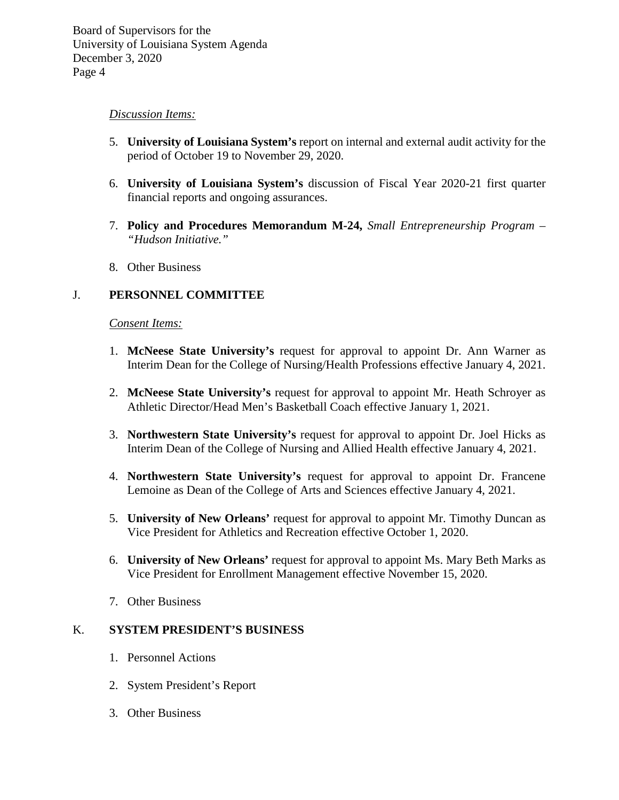#### *Discussion Items:*

- 5. **University of Louisiana System's** report on internal and external audit activity for the period of October 19 to November 29, 2020.
- 6. **University of Louisiana System's** discussion of Fiscal Year 2020-21 first quarter financial reports and ongoing assurances.
- 7. **Policy and Procedures Memorandum M-24,** *Small Entrepreneurship Program – "Hudson Initiative."*
- 8. Other Business

## J. **PERSONNEL COMMITTEE**

#### *Consent Items:*

- 1. **McNeese State University's** request for approval to appoint Dr. Ann Warner as Interim Dean for the College of Nursing/Health Professions effective January 4, 2021.
- 2. **McNeese State University's** request for approval to appoint Mr. Heath Schroyer as Athletic Director/Head Men's Basketball Coach effective January 1, 2021.
- 3. **Northwestern State University's** request for approval to appoint Dr. Joel Hicks as Interim Dean of the College of Nursing and Allied Health effective January 4, 2021.
- 4. **Northwestern State University's** request for approval to appoint Dr. Francene Lemoine as Dean of the College of Arts and Sciences effective January 4, 2021.
- 5. **University of New Orleans'** request for approval to appoint Mr. Timothy Duncan as Vice President for Athletics and Recreation effective October 1, 2020.
- 6. **University of New Orleans'** request for approval to appoint Ms. Mary Beth Marks as Vice President for Enrollment Management effective November 15, 2020.
- 7. Other Business

# K. **SYSTEM PRESIDENT'S BUSINESS**

- 1. Personnel Actions
- 2. System President's Report
- 3. Other Business